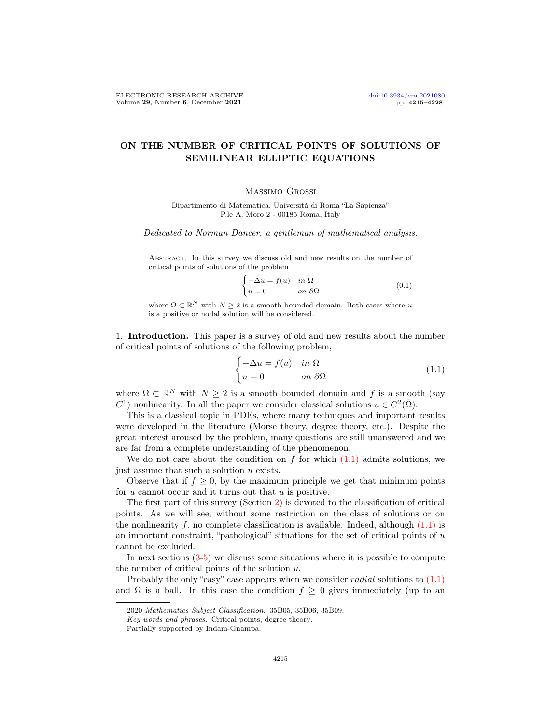# ON THE NUMBER OF CRITICAL POINTS OF SOLUTIONS OF SEMILINEAR ELLIPTIC EQUATIONS

## Massimo Grossi

Dipartimento di Matematica, Università di Roma "La Sapienza" P.le A. Moro 2 - 00185 Roma, Italy

Dedicated to Norman Dancer, a gentleman of mathematical analysis.

Abstract. In this survey we discuss old and new results on the number of critical points of solutions of the problem

$$
\begin{cases}\n-\Delta u = f(u) & \text{in } \Omega \\
u = 0 & \text{on } \partial\Omega\n\end{cases}
$$
\n(0.1)

where  $\Omega \subset \mathbb{R}^N$  with  $N \geq 2$  is a smooth bounded domain. Both cases where u is a positive or nodal solution will be considered.

1. Introduction. This paper is a survey of old and new results about the number of critical points of solutions of the following problem,

<span id="page-0-0"></span>
$$
\begin{cases}\n-\Delta u = f(u) & \text{in } \Omega \\
u = 0 & \text{on } \partial\Omega\n\end{cases}
$$
\n(1.1)

where  $\Omega \subset \mathbb{R}^N$  with  $N \geq 2$  is a smooth bounded domain and f is a smooth (say  $C^1$ ) nonlinearity. In all the paper we consider classical solutions  $u \in C^2(\overline{\Omega})$ .

This is a classical topic in PDEs, where many techniques and important results were developed in the literature (Morse theory, degree theory, etc.). Despite the great interest aroused by the problem, many questions are still unanswered and we are far from a complete understanding of the phenomenon.

We do not care about the condition on  $f$  for which  $(1.1)$  admits solutions, we just assume that such a solution u exists.

Observe that if  $f \geq 0$ , by the maximum principle we get that minimum points for  $u$  cannot occur and it turns out that  $u$  is positive.

The first part of this survey (Section [2\)](#page-2-0) is devoted to the classification of critical points. As we will see, without some restriction on the class of solutions or on the nonlinearity f, no complete classification is available. Indeed, although  $(1.1)$  is an important constraint, "pathological" situations for the set of critical points of  $u$ cannot be excluded.

In next sections [\(3](#page-4-0)[-5\)](#page-9-0) we discuss some situations where it is possible to compute the number of critical points of the solution  $u$ .

Probably the only "easy" case appears when we consider *radial* solutions to  $(1.1)$ and  $\Omega$  is a ball. In this case the condition  $f \geq 0$  gives immediately (up to an

<sup>2020</sup> Mathematics Subject Classification. 35B05, 35B06, 35B09.

Key words and phrases. Critical points, degree theory.

Partially supported by Indam-Gnampa.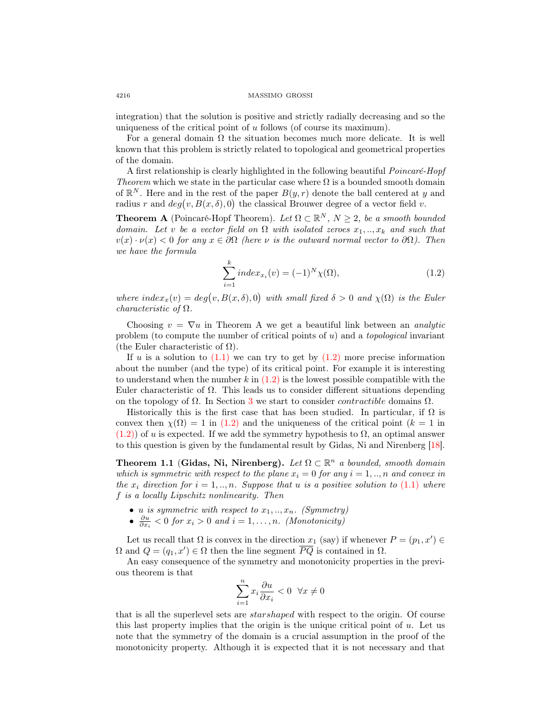integration) that the solution is positive and strictly radially decreasing and so the uniqueness of the critical point of u follows (of course its maximum).

For a general domain  $\Omega$  the situation becomes much more delicate. It is well known that this problem is strictly related to topological and geometrical properties of the domain.

A first relationship is clearly highlighted in the following beautiful Poincaré-Hopf Theorem which we state in the particular case where  $\Omega$  is a bounded smooth domain of  $\mathbb{R}^N$ . Here and in the rest of the paper  $B(y, r)$  denote the ball centered at y and radius r and  $deg(v, B(x, \delta), 0)$  the classical Brouwer degree of a vector field v.

**Theorem A** (Poincaré-Hopf Theorem). Let  $\Omega \subset \mathbb{R}^N$ ,  $N \geq 2$ , be a smooth bounded domain. Let v be a vector field on  $\Omega$  with isolated zeroes  $x_1, \ldots, x_k$  and such that  $v(x) \cdot \nu(x) < 0$  for any  $x \in \partial\Omega$  (here  $\nu$  is the outward normal vector to  $\partial\Omega$ ). Then we have the formula

<span id="page-1-0"></span>
$$
\sum_{i=1}^{k} index_{x_i}(v) = (-1)^N \chi(\Omega),
$$
\n(1.2)

where  $index_x(v) = deg(v, B(x, \delta), 0)$  with small fixed  $\delta > 0$  and  $\chi(\Omega)$  is the Euler characteristic of  $\Omega$ .

Choosing  $v = \nabla u$  in Theorem A we get a beautiful link between an *analytic* problem (to compute the number of critical points of  $u$ ) and a topological invariant (the Euler characteristic of  $\Omega$ ).

If u is a solution to  $(1.1)$  we can try to get by  $(1.2)$  more precise information about the number (and the type) of its critical point. For example it is interesting to understand when the number  $k$  in  $(1.2)$  is the lowest possible compatible with the Euler characteristic of  $\Omega$ . This leads us to consider different situations depending on the topology of  $\Omega$ . In Section [3](#page-4-0) we start to consider *contractible* domains  $\Omega$ .

Historically this is the first case that has been studied. In particular, if  $\Omega$  is convex then  $\chi(\Omega) = 1$  in [\(1.2\)](#page-1-0) and the uniqueness of the critical point ( $k = 1$  in  $(1.2)$ ) of u is expected. If we add the symmetry hypothesis to  $\Omega$ , an optimal answer to this question is given by the fundamental result by Gidas, Ni and Nirenberg [\[18\]](#page-12-0).

Theorem 1.1 (Gidas, Ni, Nirenberg). Let  $\Omega \subset \mathbb{R}^n$  a bounded, smooth domain which is symmetric with respect to the plane  $x_i = 0$  for any  $i = 1, ..., n$  and convex in the  $x_i$  direction for  $i = 1, ..., n$ . Suppose that u is a positive solution to [\(1.1\)](#page-0-0) where f is a locally Lipschitz nonlinearity. Then

- u is symmetric with respect to  $x_1, \ldots, x_n$ . (Symmetry)
- $\frac{\partial u}{\partial x_i} < 0$  for  $x_i > 0$  and  $i = 1, ..., n$ . (Monotonicity)

Let us recall that  $\Omega$  is convex in the direction  $x_1$  (say) if whenever  $P = (p_1, x') \in$  $\Omega$  and  $Q = (q_1, x') \in \Omega$  then the line segment  $\overline{PQ}$  is contained in  $\Omega$ .

An easy consequence of the symmetry and monotonicity properties in the previous theorem is that

$$
\sum_{i=1}^n x_i \frac{\partial u}{\partial x_i} < 0 \ \ \forall x \neq 0
$$

that is all the superlevel sets are starshaped with respect to the origin. Of course this last property implies that the origin is the unique critical point of  $u$ . Let us note that the symmetry of the domain is a crucial assumption in the proof of the monotonicity property. Although it is expected that it is not necessary and that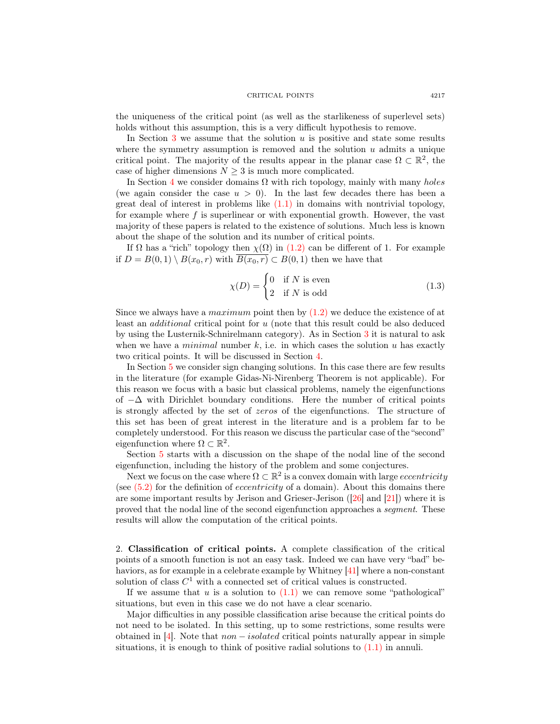the uniqueness of the critical point (as well as the starlikeness of superlevel sets) holds without this assumption, this is a very difficult hypothesis to remove.

In Section [3](#page-4-0) we assume that the solution  $u$  is positive and state some results where the symmetry assumption is removed and the solution  $u$  admits a unique critical point. The majority of the results appear in the planar case  $\Omega \subset \mathbb{R}^2$ , the case of higher dimensions  $N \geq 3$  is much more complicated.

In Section [4](#page-7-0) we consider domains  $\Omega$  with rich topology, mainly with many holes (we again consider the case  $u > 0$ ). In the last few decades there has been a great deal of interest in problems like  $(1.1)$  in domains with nontrivial topology, for example where  $f$  is superlinear or with exponential growth. However, the vast majority of these papers is related to the existence of solutions. Much less is known about the shape of the solution and its number of critical points.

If  $\Omega$  has a "rich" topology then  $\chi(\Omega)$  in [\(1.2\)](#page-1-0) can be different of 1. For example if  $D = B(0,1) \setminus B(x_0,r)$  with  $\overline{B(x_0,r)} \subset B(0,1)$  then we have that

$$
\chi(D) = \begin{cases} 0 & \text{if } N \text{ is even} \\ 2 & \text{if } N \text{ is odd} \end{cases}
$$
 (1.3)

Since we always have a *maximum* point then by  $(1.2)$  we deduce the existence of at least an additional critical point for u (note that this result could be also deduced by using the Lusternik-Schnirelmann category). As in Section [3](#page-4-0) it is natural to ask when we have a *minimal* number  $k$ , i.e. in which cases the solution  $u$  has exactly two critical points. It will be discussed in Section [4.](#page-7-0)

In Section [5](#page-9-0) we consider sign changing solutions. In this case there are few results in the literature (for example Gidas-Ni-Nirenberg Theorem is not applicable). For this reason we focus with a basic but classical problems, namely the eigenfunctions of  $-\Delta$  with Dirichlet boundary conditions. Here the number of critical points is strongly affected by the set of zeros of the eigenfunctions. The structure of this set has been of great interest in the literature and is a problem far to be completely understood. For this reason we discuss the particular case of the "second" eigenfunction where  $\Omega \subset \mathbb{R}^2$ .

Section [5](#page-9-0) starts with a discussion on the shape of the nodal line of the second eigenfunction, including the history of the problem and some conjectures.

Next we focus on the case where  $\Omega \subset \mathbb{R}^2$  is a convex domain with large *eccentricity* (see  $(5.2)$ ) for the definition of *eccentricity* of a domain). About this domains there are some important results by Jerison and Grieser-Jerison ([\[26\]](#page-12-1) and [\[21\]](#page-12-2)) where it is proved that the nodal line of the second eigenfunction approaches a segment. These results will allow the computation of the critical points.

<span id="page-2-0"></span>2. Classification of critical points. A complete classification of the critical points of a smooth function is not an easy task. Indeed we can have very "bad" behaviors, as for example in a celebrate example by Whitney [\[41\]](#page-13-0) where a non-constant solution of class  $C^1$  with a connected set of critical values is constructed.

If we assume that  $u$  is a solution to  $(1.1)$  we can remove some "pathological" situations, but even in this case we do not have a clear scenario.

Major difficulties in any possible classification arise because the critical points do not need to be isolated. In this setting, up to some restrictions, some results were obtained in  $|4|$ . Note that *non – isolated* critical points naturally appear in simple situations, it is enough to think of positive radial solutions to  $(1.1)$  in annuli.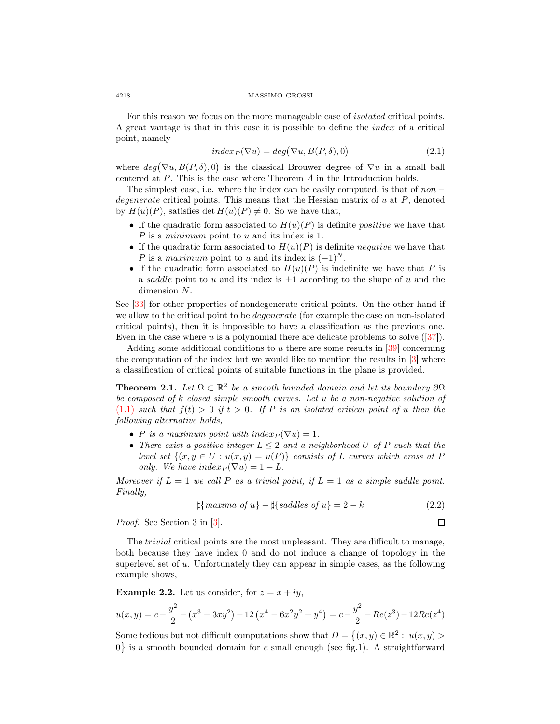For this reason we focus on the more manageable case of isolated critical points. A great vantage is that in this case it is possible to define the index of a critical point, namely

$$
index_P(\nabla u) = deg(\nabla u, B(P, \delta), 0)
$$
\n(2.1)

where  $deg(\nabla u, B(P, \delta), 0)$  is the classical Brouwer degree of  $\nabla u$  in a small ball centered at P. This is the case where Theorem A in the Introduction holds.

The simplest case, i.e. where the index can be easily computed, is that of  $non$ degenerate critical points. This means that the Hessian matrix of  $u$  at  $P$ , denoted by  $H(u)(P)$ , satisfies det  $H(u)(P) \neq 0$ . So we have that,

- If the quadratic form associated to  $H(u)(P)$  is definite *positive* we have that P is a *minimum* point to u and its index is 1.
- If the quadratic form associated to  $H(u)(P)$  is definite negative we have that P is a maximum point to u and its index is  $(-1)^N$ .
- If the quadratic form associated to  $H(u)(P)$  is indefinite we have that P is a saddle point to u and its index is  $\pm 1$  according to the shape of u and the dimension N.

See [\[33\]](#page-13-1) for other properties of nondegenerate critical points. On the other hand if we allow to the critical point to be *degenerate* (for example the case on non-isolated critical points), then it is impossible to have a classification as the previous one. Even in the case where u is a polynomial there are delicate problems to solve  $(37)$ .

Adding some additional conditions to u there are some results in  $[39]$  concerning the computation of the index but we would like to mention the results in [\[3\]](#page-11-2) where a classification of critical points of suitable functions in the plane is provided.

**Theorem 2.1.** Let  $\Omega \subset \mathbb{R}^2$  be a smooth bounded domain and let its boundary  $\partial\Omega$ be composed of  $k$  closed simple smooth curves. Let  $u$  be a non-negative solution of  $(1.1)$  such that  $f(t) > 0$  if  $t > 0$ . If P is an isolated critical point of u then the following alternative holds,

- P is a maximum point with  $index_{P}(\nabla u) = 1$ .
- There exist a positive integer  $L \leq 2$  and a neighborhood U of P such that the level set  $\{(x, y \in U : u(x, y) = u(P)\}\)$  consists of L curves which cross at P only. We have  $index_P(\nabla u) = 1 - L$ .

Moreover if  $L = 1$  we call P as a trivial point, if  $L = 1$  as a simple saddle point. Finally,

$$
\sharp \{maxima \ of \ u\} - \sharp \{saddles \ of \ u\} = 2 - k \tag{2.2}
$$

 $\Box$ 

Proof. See Section 3 in [\[3\]](#page-11-2).

The trivial critical points are the most unpleasant. They are difficult to manage, both because they have index 0 and do not induce a change of topology in the superlevel set of  $u$ . Unfortunately they can appear in simple cases, as the following example shows,

**Example 2.2.** Let us consider, for  $z = x + iy$ ,

$$
u(x,y) = c - \frac{y^2}{2} - (x^3 - 3xy^2) - 12\left(x^4 - 6x^2y^2 + y^4\right) = c - \frac{y^2}{2} - Re(z^3) - 12Re(z^4)
$$

Some tedious but not difficult computations show that  $D = \{(x, y) \in \mathbb{R}^2 : u(x, y) >$  $0$  is a smooth bounded domain for c small enough (see fig.1). A straightforward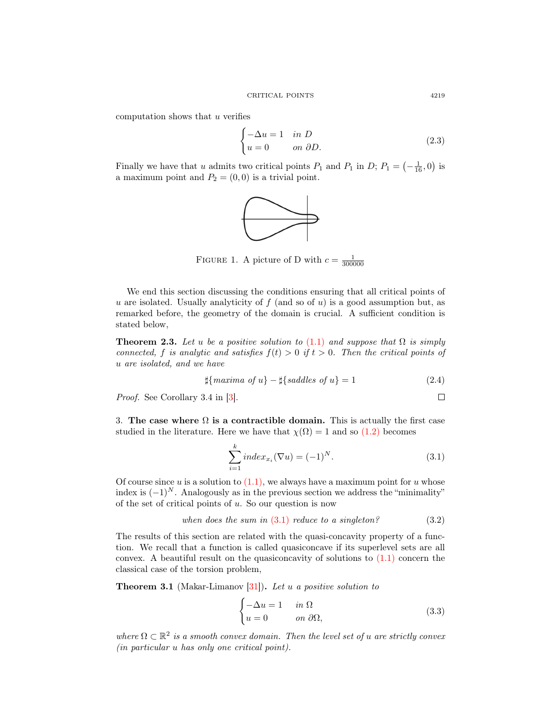computation shows that  $u$  verifies

$$
\begin{cases}\n-\Delta u = 1 & \text{in } D \\
u = 0 & \text{on } \partial D.\n\end{cases}
$$
\n(2.3)

Finally we have that u admits two critical points  $P_1$  and  $P_1$  in  $D$ ;  $P_1 = \left(-\frac{1}{16}, 0\right)$  is a maximum point and  $P_2 = (0, 0)$  is a trivial point.



FIGURE 1. A picture of D with  $c = \frac{1}{300000}$ 

We end this section discussing the conditions ensuring that all critical points of u are isolated. Usually analyticity of  $f$  (and so of u) is a good assumption but, as remarked before, the geometry of the domain is crucial. A sufficient condition is stated below,

**Theorem 2.3.** Let u be a positive solution to [\(1.1\)](#page-0-0) and suppose that  $\Omega$  is simply connected, f is analytic and satisfies  $f(t) > 0$  if  $t > 0$ . Then the critical points of u are isolated, and we have

$$
\sharp\{maxima \ of \ u\} - \sharp\{saddles \ of \ u\} = 1 \tag{2.4}
$$

Proof. See Corollary 3.4 in [\[3\]](#page-11-2).

<span id="page-4-0"></span>3. The case where  $\Omega$  is a contractible domain. This is actually the first case studied in the literature. Here we have that  $\chi(\Omega) = 1$  and so  $(1.2)$  becomes

<span id="page-4-1"></span>
$$
\sum_{i=1}^{k} index_{x_i} (\nabla u) = (-1)^N.
$$
\n(3.1)

Of course since  $u$  is a solution to  $(1.1)$ , we always have a maximum point for  $u$  whose index is  $(-1)^N$ . Analogously as in the previous section we address the "minimality" of the set of critical points of  $u$ . So our question is now

when does the sum in 
$$
(3.1)
$$
 reduce to a singleton?  $(3.2)$ 

The results of this section are related with the quasi-concavity property of a function. We recall that a function is called quasiconcave if its superlevel sets are all convex. A beautiful result on the quasiconcavity of solutions to  $(1.1)$  concern the classical case of the torsion problem,

<span id="page-4-2"></span>**Theorem 3.1** (Makar-Limanov  $[31]$ ). Let u a positive solution to

$$
\begin{cases}\n-\Delta u = 1 & \text{in } \Omega \\
u = 0 & \text{on } \partial\Omega,\n\end{cases}
$$
\n(3.3)

where  $\Omega \subset \mathbb{R}^2$  is a smooth convex domain. Then the level set of u are strictly convex (in particular u has only one critical point).

 $\Box$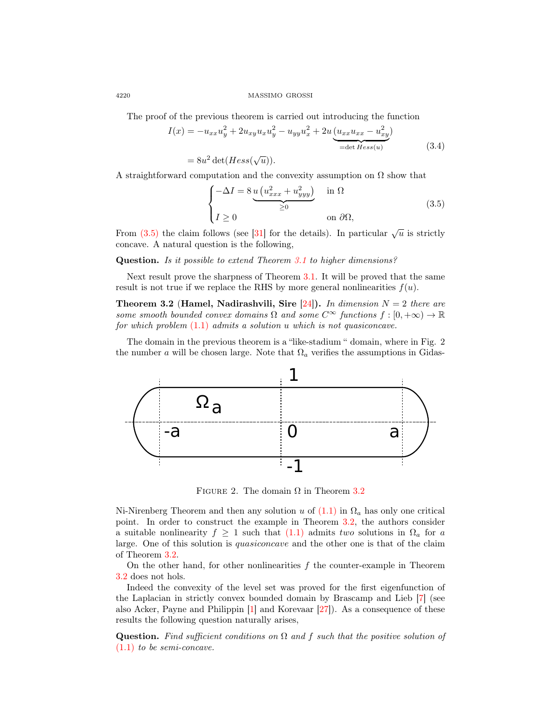The proof of the previous theorem is carried out introducing the function

$$
I(x) = -u_{xx}u_y^2 + 2u_{xy}u_xu_y^2 - u_{yy}u_x^2 + 2u\underbrace{(u_{xx}u_{xx} - u_{xy}^2)}_{=\det Hess(u)}
$$
(3.4)  

$$
= 8u^2 \det(Hess(\sqrt{u})).
$$

A straightforward computation and the convexity assumption on  $\Omega$  show that

<span id="page-5-0"></span>
$$
\begin{cases}\n-\Delta I = 8 \underbrace{u \left( u_{xxx}^2 + u_{yyy}^2 \right)}_{\geq 0} & \text{in } \Omega \\
I \geq 0 & \text{on } \partial \Omega,\n\end{cases}
$$
\n(3.5)

From [\(3.5\)](#page-5-0) the claim follows (see [\[31\]](#page-13-4) for the details). In particular  $\sqrt{u}$  is strictly concave. A natural question is the following,

Question. Is it possible to extend Theorem [3.1](#page-4-2) to higher dimensions?

Next result prove the sharpness of Theorem [3.1.](#page-4-2) It will be proved that the same result is not true if we replace the RHS by more general nonlinearities  $f(u)$ .

<span id="page-5-1"></span>**Theorem 3.2 (Hamel, Nadirashvili, Sire [\[24\]](#page-12-3)).** In dimension  $N = 2$  there are some smooth bounded convex domains  $\Omega$  and some  $C^{\infty}$  functions  $f : [0, +\infty) \to \mathbb{R}$ for which problem  $(1.1)$  admits a solution u which is not quasiconcave.

The domain in the previous theorem is a "like-stadium " domain, where in Fig. 2 the number a will be chosen large. Note that  $\Omega_a$  verifies the assumptions in Gidas-



FIGURE 2. The domain  $\Omega$  in Theorem [3.2](#page-5-1)

Ni-Nirenberg Theorem and then any solution u of  $(1.1)$  in  $\Omega_a$  has only one critical point. In order to construct the example in Theorem [3.2,](#page-5-1) the authors consider a suitable nonlinearity  $f \geq 1$  such that  $(1.1)$  admits two solutions in  $\Omega_a$  for a large. One of this solution is quasiconcave and the other one is that of the claim of Theorem [3.2.](#page-5-1)

On the other hand, for other nonlinearities  $f$  the counter-example in Theorem [3.2](#page-5-1) does not hols.

Indeed the convexity of the level set was proved for the first eigenfunction of the Laplacian in strictly convex bounded domain by Brascamp and Lieb [\[7\]](#page-12-4) (see also Acker, Payne and Philippin [\[1\]](#page-11-3) and Korevaar [\[27\]](#page-12-5)). As a consequence of these results the following question naturally arises,

Question. Find sufficient conditions on  $\Omega$  and f such that the positive solution of [\(1.1\)](#page-0-0) to be semi-concave.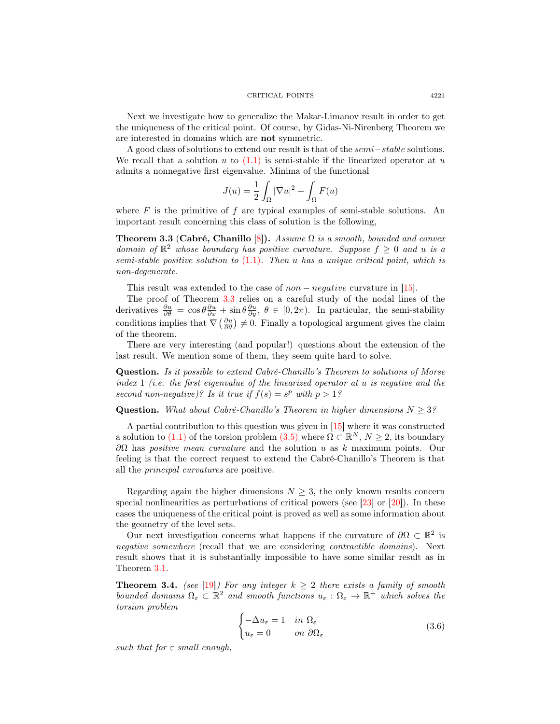Next we investigate how to generalize the Makar-Limanov result in order to get the uniqueness of the critical point. Of course, by Gidas-Ni-Nirenberg Theorem we are interested in domains which are not symmetric.

A good class of solutions to extend our result is that of the semi−stable solutions. We recall that a solution u to  $(1.1)$  is semi-stable if the linearized operator at u admits a nonnegative first eigenvalue. Minima of the functional

$$
J(u) = \frac{1}{2} \int_{\Omega} |\nabla u|^2 - \int_{\Omega} F(u)
$$

where  $F$  is the primitive of  $f$  are typical examples of semi-stable solutions. An important result concerning this class of solution is the following,

<span id="page-6-0"></span>**Theorem 3.3 (Cabré, Chanillo [\[8\]](#page-12-6)).** Assume  $\Omega$  is a smooth, bounded and convex domain of  $\mathbb{R}^2$  whose boundary has positive curvature. Suppose  $f \geq 0$  and u is a semi-stable positive solution to  $(1.1)$ . Then u has a unique critical point, which is non-degenerate.

This result was extended to the case of  $non-negative$  curvature in [\[15\]](#page-12-7).

The proof of Theorem [3.3](#page-6-0) relies on a careful study of the nodal lines of the derivatives  $\frac{\partial u}{\partial \theta} = \cos \theta \frac{\partial u}{\partial x} + \sin \theta \frac{\partial u}{\partial y}, \ \theta \in [0, 2\pi)$ . In particular, the semi-stability conditions implies that  $\nabla \left( \frac{\partial u}{\partial \theta} \right) \neq 0$ . Finally a topological argument gives the claim of the theorem.

There are very interesting (and popular!) questions about the extension of the last result. We mention some of them, they seem quite hard to solve.

Question. Is it possible to extend Cabré-Chanillo's Theorem to solutions of Morse index  $1$  (i.e. the first eigenvalue of the linearized operator at u is negative and the second non-negative)? Is it true if  $f(s) = s^p$  with  $p > 1$ ?

**Question.** What about Cabré-Chanillo's Theorem in higher dimensions  $N \geq 3$ ?

A partial contribution to this question was given in [\[15\]](#page-12-7) where it was constructed a solution to [\(1.1\)](#page-0-0) of the torsion problem  $(3.5)$  where  $\Omega \subset \mathbb{R}^N$ ,  $N \geq 2$ , its boundary  $\partial Ω$  has *positive mean curvature* and the solution u as k maximum points. Our feeling is that the correct request to extend the Cabré-Chanillo's Theorem is that all the principal curvatures are positive.

Regarding again the higher dimensions  $N \geq 3$ , the only known results concern special nonlinearities as perturbations of critical powers (see  $[23]$  or  $[20]$ ). In these cases the uniqueness of the critical point is proved as well as some information about the geometry of the level sets.

Our next investigation concerns what happens if the curvature of  $\partial\Omega \subset \mathbb{R}^2$  is negative somewhere (recall that we are considering contractible domains). Next result shows that it is substantially impossible to have some similar result as in Theorem [3.1.](#page-4-2)

**Theorem 3.4.** (see [\[19\]](#page-12-10)) For any integer  $k \geq 2$  there exists a family of smooth bounded domains  $\Omega_{\varepsilon} \subset \mathbb{R}^2$  and smooth functions  $u_{\varepsilon}: \Omega_{\varepsilon} \to \mathbb{R}^+$  which solves the torsion problem

$$
\begin{cases}\n-\Delta u_{\varepsilon} = 1 & \text{in } \Omega_{\varepsilon} \\
u_{\varepsilon} = 0 & \text{on } \partial\Omega_{\varepsilon}\n\end{cases}
$$
\n(3.6)

such that for  $\varepsilon$  small enough,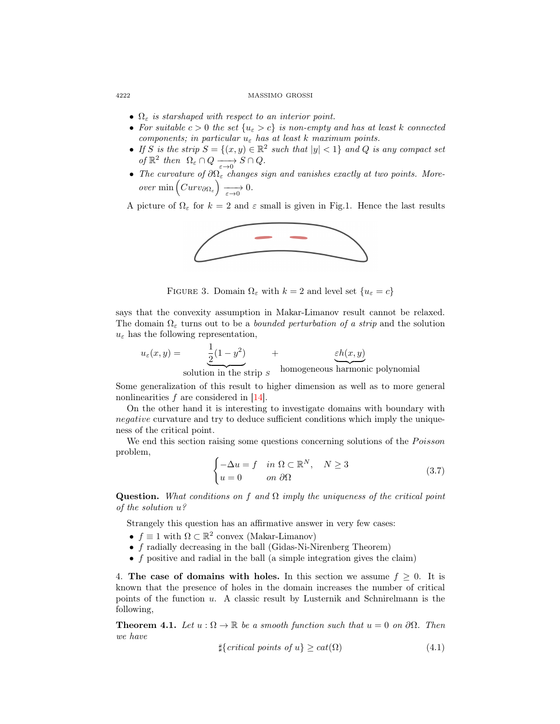- $\Omega_{\varepsilon}$  is starshaped with respect to an interior point.
- For suitable  $c > 0$  the set  $\{u_{\varepsilon} > c\}$  is non-empty and has at least k connected components; in particular  $u_{\varepsilon}$  has at least k maximum points.
- If S is the strip  $S = \{(x, y) \in \mathbb{R}^2 \text{ such that } |y| < 1\}$  and Q is any compact set of  $\mathbb{R}^2$  then  $\Omega_{\varepsilon} \cap Q \xrightarrow[\varepsilon \to 0]{} S \cap Q$ .
- The curvature of  $\partial \Omega_{\varepsilon}$  changes sign and vanishes exactly at two points. More $over \ min\left(Curv_{\partial\Omega_{\varepsilon}}\right) \xrightarrow[\varepsilon\to 0]{} 0.$

A picture of  $\Omega_{\varepsilon}$  for  $k = 2$  and  $\varepsilon$  small is given in Fig.1. Hence the last results



FIGURE 3. Domain  $\Omega_{\varepsilon}$  with  $k=2$  and level set  $\{u_{\varepsilon}=c\}$ 

says that the convexity assumption in Makar-Limanov result cannot be relaxed. The domain  $\Omega_{\varepsilon}$  turns out to be a *bounded perturbation of a strip* and the solution  $u_{\varepsilon}$  has the following representation,

$$
u_{\varepsilon}(x,y) = \underbrace{\frac{1}{2}(1-y^2)}_{\text{solution in the strip } S} + \underbrace{\varepsilon h(x,y)}_{\text{homogeneous harmonic polynomial}}
$$

Some generalization of this result to higher dimension as well as to more general nonlinearities  $f$  are considered in [\[14\]](#page-12-11).

On the other hand it is interesting to investigate domains with boundary with negative curvature and try to deduce sufficient conditions which imply the uniqueness of the critical point.

We end this section raising some questions concerning solutions of the  $Poisson$ problem,

$$
\begin{cases}\n-\Delta u = f & \text{in } \Omega \subset \mathbb{R}^N, & N \ge 3 \\
u = 0 & \text{on } \partial\Omega\n\end{cases}
$$
\n(3.7)

Question. What conditions on f and  $\Omega$  imply the uniqueness of the critical point of the solution u?

Strangely this question has an affirmative answer in very few cases:

- $f \equiv 1$  with  $\Omega \subset \mathbb{R}^2$  convex (Makar-Limanov)
- f radially decreasing in the ball (Gidas-Ni-Nirenberg Theorem)
- $f$  positive and radial in the ball (a simple integration gives the claim)

<span id="page-7-0"></span>4. The case of domains with holes. In this section we assume  $f \geq 0$ . It is known that the presence of holes in the domain increases the number of critical points of the function u. A classic result by Lusternik and Schnirelmann is the following,

**Theorem 4.1.** Let  $u : \Omega \to \mathbb{R}$  be a smooth function such that  $u = 0$  on  $\partial\Omega$ . Then we have

<span id="page-7-1"></span>
$$
\sharp{critical points of u} \geq cat(\Omega) \tag{4.1}
$$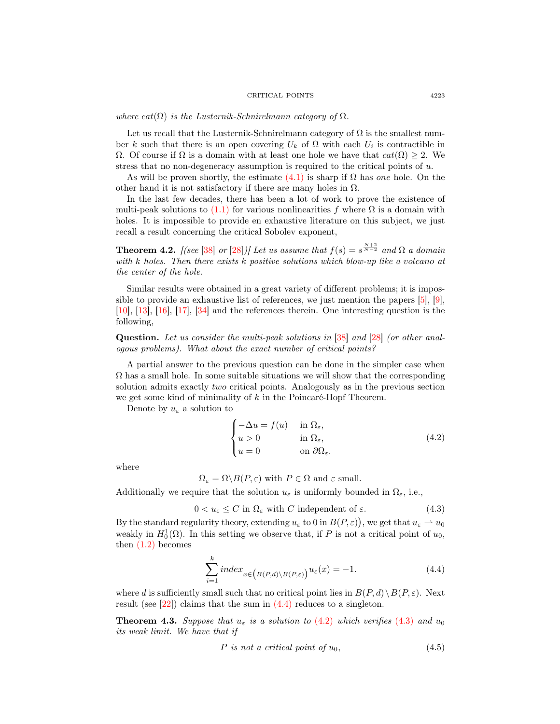where  $cat(\Omega)$  is the Lusternik-Schnirelmann category of  $\Omega$ .

Let us recall that the Lusternik-Schnirelmann category of  $\Omega$  is the smallest number k such that there is an open covering  $U_k$  of  $\Omega$  with each  $U_i$  is contractible in Ω. Of course if Ω is a domain with at least one hole we have that  $cat(Ω) ≥ 2$ . We stress that no non-degeneracy assumption is required to the critical points of u.

As will be proven shortly, the estimate  $(4.1)$  is sharp if  $\Omega$  has one hole. On the other hand it is not satisfactory if there are many holes in  $\Omega$ .

In the last few decades, there has been a lot of work to prove the existence of multi-peak solutions to  $(1.1)$  for various nonlinearities f where  $\Omega$  is a domain with holes. It is impossible to provide en exhaustive literature on this subject, we just recall a result concerning the critical Sobolev exponent,

<span id="page-8-4"></span>**Theorem 4.2.** [(see [\[38\]](#page-13-5) or [\[28\]](#page-12-12))] Let us assume that  $f(s) = s^{\frac{N+2}{N-2}}$  and  $\Omega$  a domain with k holes. Then there exists k positive solutions which blow-up like a volcano at the center of the hole.

Similar results were obtained in a great variety of different problems; it is impossible to provide an exhaustive list of references, we just mention the papers [\[5\]](#page-12-13), [\[9\]](#page-12-14), [\[10\]](#page-12-15), [\[13\]](#page-12-16), [\[16\]](#page-12-17), [\[17\]](#page-12-18), [\[34\]](#page-13-6) and the references therein. One interesting question is the following,

Question. Let us consider the multi-peak solutions in [\[38\]](#page-13-5) and [\[28\]](#page-12-12) (or other analogous problems). What about the exact number of critical points?

A partial answer to the previous question can be done in the simpler case when  $\Omega$  has a small hole. In some suitable situations we will show that the corresponding solution admits exactly *two* critical points. Analogously as in the previous section we get some kind of minimality of  $k$  in the Poincaré-Hopf Theorem.

Denote by  $u_{\varepsilon}$  a solution to

<span id="page-8-1"></span>
$$
\begin{cases}\n-\Delta u = f(u) & \text{in } \Omega_{\varepsilon}, \\
u > 0 & \text{in } \Omega_{\varepsilon}, \\
u = 0 & \text{on } \partial\Omega_{\varepsilon}.\n\end{cases}
$$
\n(4.2)

where

 $\Omega_{\varepsilon} = \Omega \backslash B(P, \varepsilon)$  with  $P \in \Omega$  and  $\varepsilon$  small.

Additionally we require that the solution  $u_{\varepsilon}$  is uniformly bounded in  $\Omega_{\varepsilon}$ , i.e.,

<span id="page-8-2"></span> $0 < u_{\varepsilon} \leq C$  in  $\Omega_{\varepsilon}$  with C independent of  $\varepsilon$ . (4.3)

By the standard regularity theory, extending  $u_{\varepsilon}$  to 0 in  $B(P, \varepsilon)$ , we get that  $u_{\varepsilon} \to u_0$ weakly in  $H_0^1(\Omega)$ . In this setting we observe that, if P is not a critical point of  $u_0$ , then  $(1.2)$  becomes

<span id="page-8-0"></span>
$$
\sum_{i=1}^{k} index_{x \in (B(P,d) \setminus B(P,\varepsilon))} u_{\varepsilon}(x) = -1.
$$
\n(4.4)

where d is sufficiently small such that no critical point lies in  $B(P, d) \setminus B(P, \varepsilon)$ . Next result (see [\[22\]](#page-12-19)) claims that the sum in [\(4.4\)](#page-8-0) reduces to a singleton.

<span id="page-8-3"></span>**Theorem 4.3.** Suppose that  $u_{\varepsilon}$  is a solution to [\(4.2\)](#page-8-1) which verifies [\(4.3\)](#page-8-2) and  $u_0$ its weak limit. We have that if

$$
P \text{ is not a critical point of } u_0,\tag{4.5}
$$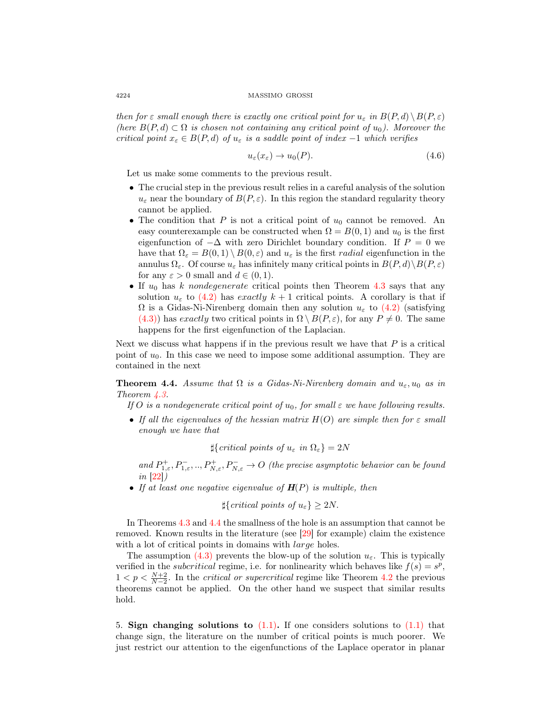then for  $\varepsilon$  small enough there is exactly one critical point for  $u_{\varepsilon}$  in  $B(P,d) \setminus B(P, \varepsilon)$ (here  $B(P,d) \subset \Omega$  is chosen not containing any critical point of  $u_0$ ). Moreover the critical point  $x_{\varepsilon} \in B(P, d)$  of  $u_{\varepsilon}$  is a saddle point of index -1 which verifies

$$
u_{\varepsilon}(x_{\varepsilon}) \to u_0(P). \tag{4.6}
$$

Let us make some comments to the previous result.

- The crucial step in the previous result relies in a careful analysis of the solution  $u_{\varepsilon}$  near the boundary of  $B(P, \varepsilon)$ . In this region the standard regularity theory cannot be applied.
- The condition that P is not a critical point of  $u_0$  cannot be removed. An easy counterexample can be constructed when  $\Omega = B(0, 1)$  and  $u_0$  is the first eigenfunction of  $-\Delta$  with zero Dirichlet boundary condition. If  $P = 0$  we have that  $\Omega_{\varepsilon} = B(0,1) \setminus B(0,\varepsilon)$  and  $u_{\varepsilon}$  is the first *radial* eigenfunction in the annulus  $\Omega_{\varepsilon}$ . Of course  $u_{\varepsilon}$  has infinitely many critical points in  $B(P, d)\setminus B(P, \varepsilon)$ for any  $\varepsilon > 0$  small and  $d \in (0, 1)$ .
- If  $u_0$  has k nondegenerate critical points then Theorem [4.3](#page-8-3) says that any solution  $u_{\varepsilon}$  to [\(4.2\)](#page-8-1) has exactly  $k + 1$  critical points. A corollary is that if  $\Omega$  is a Gidas-Ni-Nirenberg domain then any solution  $u_{\varepsilon}$  to [\(4.2\)](#page-8-1) (satisfying [\(4.3\)\)](#page-8-2) has exactly two critical points in  $\Omega \setminus B(P, \varepsilon)$ , for any  $P \neq 0$ . The same happens for the first eigenfunction of the Laplacian.

Next we discuss what happens if in the previous result we have that  $P$  is a critical point of  $u_0$ . In this case we need to impose some additional assumption. They are contained in the next

<span id="page-9-1"></span>**Theorem 4.4.** Assume that  $\Omega$  is a Gidas-Ni-Nirenberg domain and  $u_{\varepsilon}, u_0$  as in Theorem [4.3.](#page-8-3)

If O is a nondegenerate critical point of  $u_0$ , for small  $\varepsilon$  we have following results.

• If all the eigenvalues of the hessian matrix  $H(O)$  are simple then for  $\varepsilon$  small enough we have that

 $\sharp\{critical\ points\ of\ u_{\varepsilon}\ in\ \Omega_{\varepsilon}\}=2N$ 

and  $P^+_{1,\varepsilon}, P^-_{1,\varepsilon}, \ldots, P^+_{N,\varepsilon}, P^-_{N,\varepsilon} \to O$  (the precise asymptotic behavior can be found  $in \vert 22 \vert)$ 

• If at least one negative eigenvalue of  $H(P)$  is multiple, then

 $\sharp\{critical points of u_{\varepsilon}\}\geq 2N.$ 

In Theorems [4.3](#page-8-3) and [4.4](#page-9-1) the smallness of the hole is an assumption that cannot be removed. Known results in the literature (see [\[29\]](#page-12-20) for example) claim the existence with a lot of critical points in domains with *large* holes.

The assumption [\(4.3\)](#page-8-2) prevents the blow-up of the solution  $u_{\varepsilon}$ . This is typically verified in the *subcritical* regime, i.e. for nonlinearity which behaves like  $f(s) = s^p$ ,  $1 < p < \frac{N+2}{N-2}$ . In the *critical or supercritical* regime like Theorem [4.2](#page-8-4) the previous theorems cannot be applied. On the other hand we suspect that similar results hold.

<span id="page-9-0"></span>5. Sign changing solutions to  $(1.1)$ . If one considers solutions to  $(1.1)$  that change sign, the literature on the number of critical points is much poorer. We just restrict our attention to the eigenfunctions of the Laplace operator in planar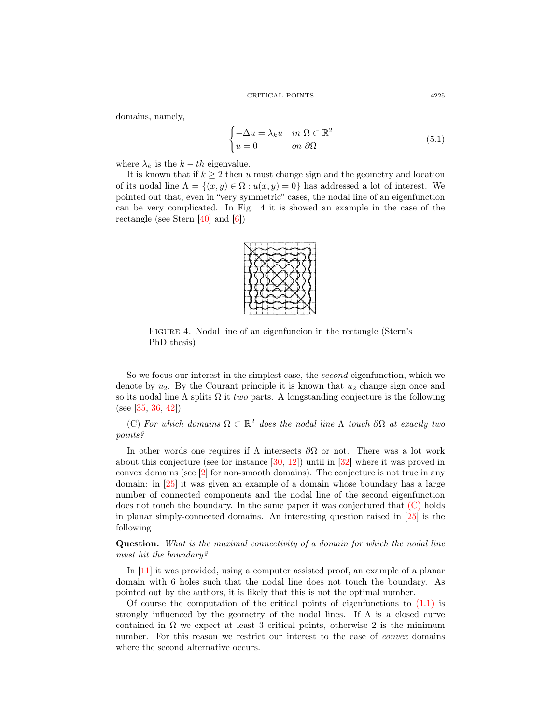domains, namely,

$$
\begin{cases}\n-\Delta u = \lambda_k u & \text{in } \Omega \subset \mathbb{R}^2 \\
u = 0 & \text{on } \partial\Omega\n\end{cases}
$$
\n(5.1)

where  $\lambda_k$  is the  $k-th$  eigenvalue.

It is known that if  $k \geq 2$  then u must change sign and the geometry and location of its nodal line  $\Lambda = \overline{\{(x, y) \in \Omega : u(x, y) = 0\}}$  has addressed a lot of interest. We pointed out that, even in "very symmetric" cases, the nodal line of an eigenfunction can be very complicated. In Fig. 4 it is showed an example in the case of the rectangle (see Stern  $[40]$  and  $[6]$ )  $\lceil \frac{10}{2} \rceil$  and  $\lceil \frac{0}{2} \rceil$ 



FIGURE 4. Nodal line of an eigenfuncion in the rectangle (Stern's  $\overline{\phantom{a}}$ PhD thesis)

So we focus our interest in the simplest case, the *second* eigenfunction, which we denote by  $u_2$ . By the Courant principle it is known that  $u_2$  change sign once and so its nodal line  $\Lambda$  splits  $\Omega$  it *two* parts. A longstanding conjecture is the following (see [\[35,](#page-13-8) [36,](#page-13-9) [42\]](#page-13-10))

<span id="page-10-0"></span>(C) For which domains  $\Omega \subset \mathbb{R}^2$  does the nodal line  $\Lambda$  touch  $\partial\Omega$  at exactly two points?

about this conjecture (see for instance  $[30, 12]$  $[30, 12]$  $[30, 12]$ ) until in  $[32]$  where it was proved in In other words one requires if  $\Lambda$  intersects  $\partial\Omega$  or not. There was a lot work convex domains (see  $[2]$  for non-smooth domains). The conjecture is not true in any domain: in [\[25\]](#page-12-24) it was given an example of a domain whose boundary has a large number of connected components and the nodal line of the second eigenfunction does not touch the boundary. In the same paper it was conjectured that [\(C\)](#page-10-0) holds in planar simply-connected domains. An interesting question raised in [\[25\]](#page-12-24) is the following

Question. What is the maximal connectivity of a domain for which the nodal line must hit the boundary?

In [\[11\]](#page-12-25) it was provided, using a computer assisted proof, an example of a planar domain with 6 holes such that the nodal line does not touch the boundary. As pointed out by the authors, it is likely that this is not the optimal number.

Of course the computation of the critical points of eigenfunctions to  $(1.1)$  is strongly influenced by the geometry of the nodal lines. If  $\Lambda$  is a closed curve contained in  $\Omega$  we expect at least 3 critical points, otherwise 2 is the minimum number. For this reason we restrict our interest to the case of *convex* domains where the second alternative occurs.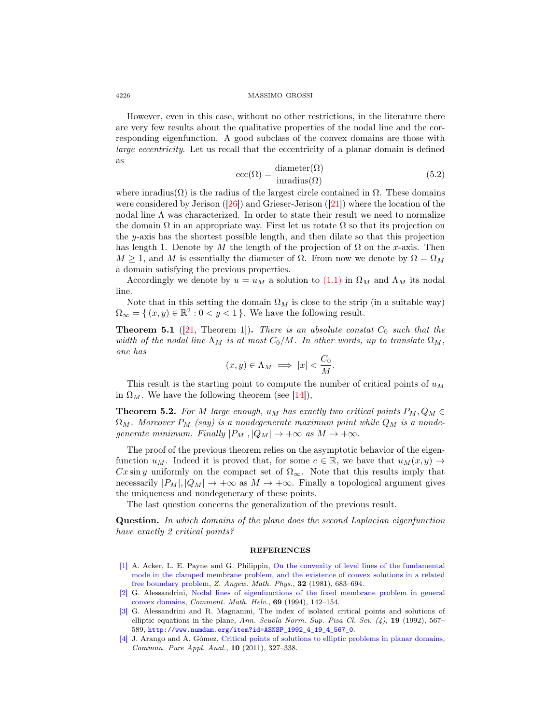However, even in this case, without no other restrictions, in the literature there are very few results about the qualitative properties of the nodal line and the corresponding eigenfunction. A good subclass of the convex domains are those with large eccentricity. Let us recall that the eccentricity of a planar domain is defined as

<span id="page-11-0"></span>
$$
\text{ecc}(\Omega) = \frac{\text{diameter}(\Omega)}{\text{inradius}(\Omega)}\tag{5.2}
$$

where inradius( $\Omega$ ) is the radius of the largest circle contained in  $\Omega$ . These domains were considered by Jerison  $(26)$  and Grieser-Jerison  $(21)$  where the location of the nodal line  $\Lambda$  was characterized. In order to state their result we need to normalize the domain  $\Omega$  in an appropriate way. First let us rotate  $\Omega$  so that its projection on the y-axis has the shortest possible length, and then dilate so that this projection has length 1. Denote by M the length of the projection of  $\Omega$  on the x-axis. Then  $M \geq 1$ , and M is essentially the diameter of  $\Omega$ . From now we denote by  $\Omega = \Omega_M$ a domain satisfying the previous properties.

Accordingly we denote by  $u = u_M$  a solution to [\(1.1\)](#page-0-0) in  $\Omega_M$  and  $\Lambda_M$  its nodal line.

Note that in this setting the domain  $\Omega_M$  is close to the strip (in a suitable way)  $\Omega_{\infty} = \{ (x, y) \in \mathbb{R}^2 : 0 < y < 1 \}.$  We have the following result.

**Theorem 5.1** ([\[21,](#page-12-2) Theorem 1]). There is an absolute constat  $C_0$  such that the width of the nodal line  $\Lambda_M$  is at most  $C_0/M$ . In other words, up to translate  $\Omega_M$ , one has

$$
(x,y)\in \Lambda_M \implies |x| < \frac{C_0}{M}.
$$

This result is the starting point to compute the number of critical points of  $u_M$ in  $\Omega_M$ . We have the following theorem (see [\[14\]](#page-12-11)),

**Theorem 5.2.** For M large enough,  $u_M$  has exactly two critical points  $P_M, Q_M \in$  $\Omega_M$ . Moreover  $P_M$  (say) is a nondegenerate maximum point while  $Q_M$  is a nondegenerate minimum. Finally  $|P_M|, |Q_M| \rightarrow +\infty$  as  $M \rightarrow +\infty$ .

The proof of the previous theorem relies on the asymptotic behavior of the eigenfunction  $u_M$ . Indeed it is proved that, for some  $c \in \mathbb{R}$ , we have that  $u_M(x, y) \to$ Cx sin y uniformly on the compact set of  $\Omega_{\infty}$ . Note that this results imply that necessarily  $|P_M|, |Q_M| \to +\infty$  as  $M \to +\infty$ . Finally a topological argument gives the uniqueness and nondegeneracy of these points.

The last question concerns the generalization of the previous result.

Question. In which domains of the plane does the second Laplacian eigenfunction have exactly 2 critical points?

## REFERENCES

- <span id="page-11-3"></span>[\[1\]](http://www.ams.org/mathscinet-getitem?mr=MR648766&return=pdf) A. Acker, L. E. Payne and G. Philippin, [On the convexity of level lines of the fundamental](http://dx.doi.org/10.1007/BF00946979) [mode in the clamped membrane problem, and the existence of convex solutions in a related](http://dx.doi.org/10.1007/BF00946979) [free boundary problem,](http://dx.doi.org/10.1007/BF00946979) Z. Angew. Math. Phys., 32 (1981), 683–694.
- <span id="page-11-4"></span>[\[2\]](http://www.ams.org/mathscinet-getitem?mr=MR1259610&return=pdf) G. Alessandrini, [Nodal lines of eigenfunctions of the fixed membrane problem in general](http://dx.doi.org/10.1007/BF02564478) [convex domains,](http://dx.doi.org/10.1007/BF02564478) Comment. Math. Helv., 69 (1994), 142–154.
- <span id="page-11-2"></span>[\[3\]](http://www.ams.org/mathscinet-getitem?mr=MR1205884&return=pdf) G. Alessandrini and R. Magnanini, The index of isolated critical points and solutions of elliptic equations in the plane, Ann. Scuola Norm. Sup. Pisa Cl. Sci.  $(4)$ , 19 (1992), 567– 589, [http://www.numdam.org/item?id=ASNSP\\_1992\\_4\\_19\\_4\\_567\\_0](http://www.numdam.org/item?id=ASNSP_1992_4_19_4_567_0).
- <span id="page-11-1"></span>[\[4\]](http://www.ams.org/mathscinet-getitem?mr=MR2746541&return=pdf) J. Arango and A. Gómez, [Critical points of solutions to elliptic problems in planar domains,](http://dx.doi.org/10.3934/cpaa.2011.10.327) Commun. Pure Appl. Anal., 10 (2011), 327–338.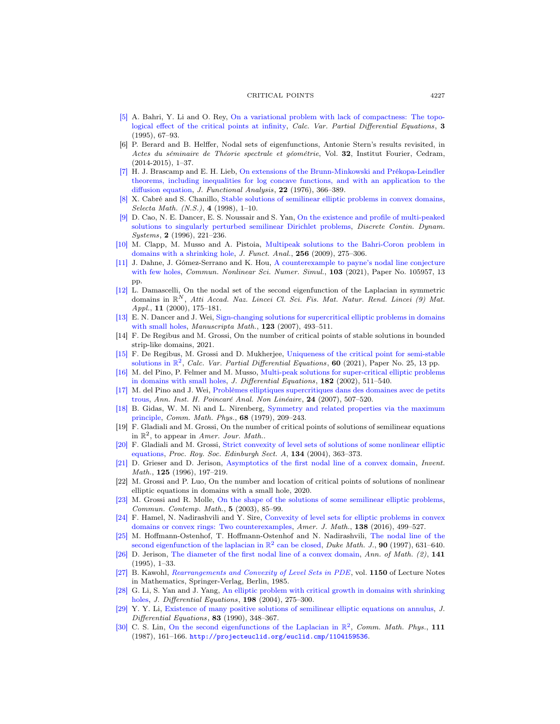- <span id="page-12-13"></span>[\[5\]](http://www.ams.org/mathscinet-getitem?mr=MR1384837&return=pdf) A. Bahri, Y. Li and O. Rey, [On a variational problem with lack of compactness: The topo](http://dx.doi.org/10.1007/BF01190892)[logical effect of the critical points at infinity,](http://dx.doi.org/10.1007/BF01190892) Calc. Var. Partial Differential Equations, 3 (1995), 67–93.
- <span id="page-12-21"></span>[6] P. Berard and B. Helffer, Nodal sets of eigenfunctions, Antonie Stern's results revisited, in Actes du séminaire de Théorie spectrale et géométrie, Vol. 32, Institut Fourier, Cedram,  $(2014-2015), 1-37.$
- <span id="page-12-4"></span>[\[7\]](http://www.ams.org/mathscinet-getitem?mr=MR0450480&return=pdf) H. J. Brascamp and E. H. Lieb, [On extensions of the Brunn-Minkowski and Prékopa-Leindler](http://dx.doi.org/10.1016/0022-1236(76)90004-5) [theorems, including inequalities for log concave functions, and with an application to the](http://dx.doi.org/10.1016/0022-1236(76)90004-5) [diffusion equation,](http://dx.doi.org/10.1016/0022-1236(76)90004-5) J. Functional Analysis, 22 (1976), 366–389.
- <span id="page-12-6"></span>[\[8\]](http://www.ams.org/mathscinet-getitem?mr=MR1623694&return=pdf) X. Cabré and S. Chanillo, [Stable solutions of semilinear elliptic problems in convex domains,](http://dx.doi.org/10.1007/s000290050022) Selecta Math.  $(N.S.), 4$  (1998), 1-10.
- <span id="page-12-14"></span>[\[9\]](http://www.ams.org/mathscinet-getitem?mr=MR1382508&return=pdf) D. Cao, N. E. Dancer, E. S. Noussair and S. Yan, [On the existence and profile of multi-peaked](http://dx.doi.org/10.3934/dcds.1996.2.221) [solutions to singularly perturbed semilinear Dirichlet problems,](http://dx.doi.org/10.3934/dcds.1996.2.221) Discrete Contin. Dynam. Systems, 2 (1996), 221-236.
- <span id="page-12-15"></span>[\[10\]](http://www.ams.org/mathscinet-getitem?mr=MR2476943&return=pdf) M. Clapp, M. Musso and A. Pistoia, [Multipeak solutions to the Bahri-Coron problem in](http://dx.doi.org/10.1016/j.jfa.2008.06.034) [domains with a shrinking hole,](http://dx.doi.org/10.1016/j.jfa.2008.06.034) J. Funct. Anal., 256 (2009), 275–306.
- <span id="page-12-25"></span>[\[11\]](http://www.ams.org/mathscinet-getitem?mr=MR4291475&return=pdf) J. Dahne, J. Gómez-Serrano and K. Hou, [A counterexample to payne's nodal line conjecture](http://dx.doi.org/10.1016/j.cnsns.2021.105957) [with few holes,](http://dx.doi.org/10.1016/j.cnsns.2021.105957) *Commun. Nonlinear Sci. Numer. Simul.*, **103** (2021), Paper No. 105957, 13 pp.
- <span id="page-12-23"></span>[\[12\]](http://www.ams.org/mathscinet-getitem?mr=MR1841691&return=pdf) L. Damascelli, On the nodal set of the second eigenfunction of the Laplacian in symmetric domains in  $\mathbb{R}^N$ , Atti Accad. Naz. Lincei Cl. Sci. Fis. Mat. Natur. Rend. Lincei (9) Mat. Appl., **11** (2000), 175-181.
- <span id="page-12-16"></span>[\[13\]](http://www.ams.org/mathscinet-getitem?mr=MR2320740&return=pdf) E. N. Dancer and J. Wei, [Sign-changing solutions for supercritical elliptic problems in domains](http://dx.doi.org/10.1007/s00229-007-0110-6) [with small holes,](http://dx.doi.org/10.1007/s00229-007-0110-6) Manuscripta Math., 123 (2007), 493–511.
- <span id="page-12-11"></span>[14] F. De Regibus and M. Grossi, On the number of critical points of stable solutions in bounded strip-like domains, 2021.
- <span id="page-12-7"></span>[\[15\]](http://www.ams.org/mathscinet-getitem?mr=MR4201648&return=pdf) F. De Regibus, M. Grossi and D. Mukherjee, [Uniqueness of the critical point for semi-stable](http://dx.doi.org/10.1007/s00526-020-01903-5) [solutions in](http://dx.doi.org/10.1007/s00526-020-01903-5)  $\mathbb{R}^2$ , Calc. Var. Partial Differential Equations, 60 (2021), Paper No. 25, 13 pp.
- <span id="page-12-17"></span>[\[16\]](http://www.ams.org/mathscinet-getitem?mr=MR1900333&return=pdf) M. del Pino, P. Felmer and M. Musso, [Multi-peak solutions for super-critical elliptic problems](http://dx.doi.org/10.1006/jdeq.2001.4098) [in domains with small holes,](http://dx.doi.org/10.1006/jdeq.2001.4098) J. Differential Equations, 182 (2002), 511-540.
- <span id="page-12-18"></span>[\[17\]](http://www.ams.org/mathscinet-getitem?mr=MR2334989&return=pdf) M. del Pino and J. Wei, [Problèmes elliptiques supercritiques dans des domaines avec de petits](http://dx.doi.org/10.1016/j.anihpc.2006.03.001) [trous,](http://dx.doi.org/10.1016/j.anihpc.2006.03.001) Ann. Inst. H. Poincaré Anal. Non Linéaire, 24 (2007), 507–520.
- <span id="page-12-0"></span>[\[18\]](http://www.ams.org/mathscinet-getitem?mr=MR544879&return=pdf) B. Gidas, W. M. Ni and L. Nirenberg, [Symmetry and related properties via the maximum](http://dx.doi.org/10.1007/BF01221125) [principle,](http://dx.doi.org/10.1007/BF01221125) Comm. Math. Phys., 68 (1979), 209–243.
- <span id="page-12-10"></span>[19] F. Gladiali and M. Grossi, On the number of critical points of solutions of semilinear equations in  $\mathbb{R}^2$ , to appear in Amer. Jour. Math..
- <span id="page-12-9"></span>[\[20\]](http://www.ams.org/mathscinet-getitem?mr=MR2056287&return=pdf) F. Gladiali and M. Grossi, [Strict convexity of level sets of solutions of some nonlinear elliptic](http://dx.doi.org/10.1017/S0308210500003255) [equations,](http://dx.doi.org/10.1017/S0308210500003255) Proc. Roy. Soc. Edinburgh Sect. A, 134 (2004), 363–373.
- <span id="page-12-2"></span>[\[21\]](http://www.ams.org/mathscinet-getitem?mr=MR1395718&return=pdf) D. Grieser and D. Jerison, [Asymptotics of the first nodal line of a convex domain,](http://dx.doi.org/10.1007/s002220050073) Invent. Math., 125 (1996), 197-219.
- <span id="page-12-19"></span>[22] M. Grossi and P. Luo, On the number and location of critical points of solutions of nonlinear elliptic equations in domains with a small hole, 2020.
- <span id="page-12-8"></span>[\[23\]](http://www.ams.org/mathscinet-getitem?mr=MR1958020&return=pdf) M. Grossi and R. Molle, [On the shape of the solutions of some semilinear elliptic problems,](http://dx.doi.org/10.1142/S0219199703000914) Commun. Contemp. Math., 5 (2003), 85–99.
- <span id="page-12-3"></span>[\[24\]](http://www.ams.org/mathscinet-getitem?mr=MR3483474&return=pdf) F. Hamel, N. Nadirashvili and Y. Sire, [Convexity of level sets for elliptic problems in convex](http://dx.doi.org/10.1353/ajm.2016.0012) [domains or convex rings: Two counterexamples,](http://dx.doi.org/10.1353/ajm.2016.0012) Amer. J. Math., 138 (2016), 499–527.
- <span id="page-12-24"></span>[\[25\]](http://www.ams.org/mathscinet-getitem?mr=MR1480548&return=pdf) M. Hoffmann-Ostenhof, T. Hoffmann-Ostenhof and N. Nadirashvili, [The nodal line of the](http://dx.doi.org/10.1215/S0012-7094-97-09017-7) [second eigenfunction of the laplacian in](http://dx.doi.org/10.1215/S0012-7094-97-09017-7)  $\mathbb{R}^2$  can be closed, *Duke Math. J.*, **90** (1997), 631–640.
- <span id="page-12-1"></span>[\[26\]](http://www.ams.org/mathscinet-getitem?mr=MR1314030&return=pdf) D. Jerison, [The diameter of the first nodal line of a convex domain,](http://dx.doi.org/10.2307/2118626) Ann. of Math. (2), 141 (1995), 1–33.
- <span id="page-12-5"></span>[\[27\]](http://www.ams.org/mathscinet-getitem?mr=MR810619&return=pdf) B. Kawohl, [Rearrangements and Convexity of Level Sets in PDE](http://dx.doi.org/10.1007/BFb0075060), vol. 1150 of Lecture Notes in Mathematics, Springer-Verlag, Berlin, 1985.
- <span id="page-12-12"></span>[\[28\]](http://www.ams.org/mathscinet-getitem?mr=MR2038582&return=pdf) G. Li, S. Yan and J. Yang, [An elliptic problem with critical growth in domains with shrinking](http://dx.doi.org/10.1016/j.jde.2003.06.001) [holes,](http://dx.doi.org/10.1016/j.jde.2003.06.001) J. Differential Equations, 198 (2004), 275–300.
- <span id="page-12-20"></span>[\[29\]](http://www.ams.org/mathscinet-getitem?mr=MR1033192&return=pdf) Y. Y. Li, [Existence of many positive solutions of semilinear elliptic equations on annulus,](http://dx.doi.org/10.1016/0022-0396(90)90062-T) J. Differential Equations, 83 (1990), 348–367.
- <span id="page-12-22"></span>[\[30\]](http://www.ams.org/mathscinet-getitem?mr=MR899848&return=pdf) C. S. Lin, [On the second eigenfunctions of the Laplacian in](http://dx.doi.org/10.1007/BF01217758)  $\mathbb{R}^2$ , Comm. Math. Phys., 111 (1987), 161–166. <http://projecteuclid.org/euclid.cmp/1104159536>.